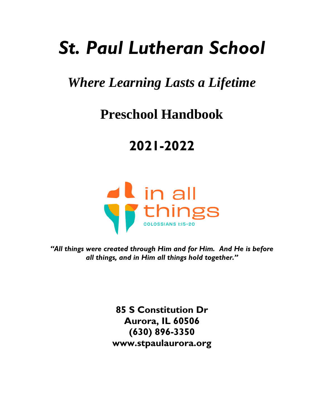# *St. Paul Lutheran School*

### *Where Learning Lasts a Lifetime*

## **Preschool Handbook**

## **2021-2022**



*"All things were created through Him and for Him. And He is before all things, and in Him all things hold together."*

> **85 S Constitution Dr Aurora, IL 60506 (630) 896-3350 www.stpaulaurora.org**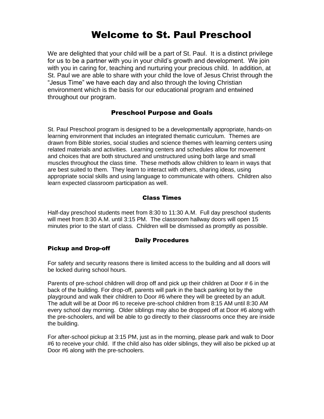### Welcome to St. Paul Preschool

We are delighted that your child will be a part of St. Paul. It is a distinct privilege for us to be a partner with you in your child's growth and development. We join with you in caring for, teaching and nurturing your precious child. In addition, at St. Paul we are able to share with your child the love of Jesus Christ through the "Jesus Time" we have each day and also through the loving Christian environment which is the basis for our educational program and entwined throughout our program.

#### Preschool Purpose and Goals

St. Paul Preschool program is designed to be a developmentally appropriate, hands-on learning environment that includes an integrated thematic curriculum. Themes are drawn from Bible stories, social studies and science themes with learning centers using related materials and activities. Learning centers and schedules allow for movement and choices that are both structured and unstructured using both large and small muscles throughout the class time. These methods allow children to learn in ways that are best suited to them. They learn to interact with others, sharing ideas, using appropriate social skills and using language to communicate with others. Children also learn expected classroom participation as well.

#### Class Times

Half-day preschool students meet from 8:30 to 11:30 A.M. Full day preschool students will meet from 8:30 A.M. until 3:15 PM. The classroom hallway doors will open 15 minutes prior to the start of class. Children will be dismissed as promptly as possible.

#### Daily Procedures

#### Pickup and Drop-off

For safety and security reasons there is limited access to the building and all doors will be locked during school hours.

Parents of pre-school children will drop off and pick up their children at Door # 6 in the back of the building. For drop-off, parents will park in the back parking lot by the playground and walk their children to Door #6 where they will be greeted by an adult. The adult will be at Door #6 to receive pre-school children from 8:15 AM until 8:30 AM every school day morning. Older siblings may also be dropped off at Door #6 along with the pre-schoolers, and will be able to go directly to their classrooms once they are inside the building.

For after-school pickup at 3:15 PM, just as in the morning, please park and walk to Door #6 to receive your child. If the child also has older siblings, they will also be picked up at Door #6 along with the pre-schoolers.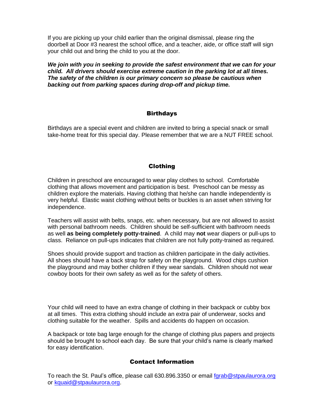If you are picking up your child earlier than the original dismissal, please ring the doorbell at Door #3 nearest the school office, and a teacher, aide, or office staff will sign your child out and bring the child to you at the door.

*We join with you in seeking to provide the safest environment that we can for your child. All drivers should exercise extreme caution in the parking lot at all times. The safety of the children is our primary concern so please be cautious when backing out from parking spaces during drop-off and pickup time.*

#### **Birthdays**

Birthdays are a special event and children are invited to bring a special snack or small take-home treat for this special day. Please remember that we are a NUT FREE school.

#### Clothing

Children in preschool are encouraged to wear play clothes to school. Comfortable clothing that allows movement and participation is best. Preschool can be messy as children explore the materials. Having clothing that he/she can handle independently is very helpful. Elastic waist clothing without belts or buckles is an asset when striving for independence.

Teachers will assist with belts, snaps, etc. when necessary, but are not allowed to assist with personal bathroom needs. Children should be self-sufficient with bathroom needs as well **as being completely potty-trained**. A child may **not** wear diapers or pull-ups to class. Reliance on pull-ups indicates that children are not fully potty-trained as required.

Shoes should provide support and traction as children participate in the daily activities. All shoes should have a back strap for safety on the playground. Wood chips cushion the playground and may bother children if they wear sandals. Children should not wear cowboy boots for their own safety as well as for the safety of others.

Your child will need to have an extra change of clothing in their backpack or cubby box at all times. This extra clothing should include an extra pair of underwear, socks and clothing suitable for the weather. Spills and accidents do happen on occasion.

A backpack or tote bag large enough for the change of clothing plus papers and projects should be brought to school each day. Be sure that your child's name is clearly marked for easy identification.

#### Contact Information

To reach the St. Paul's office, please call 630.896.3350 or email [fgrab@stpaulaurora.org](mailto:fgrab@stpaulaurora.org) or [kquaid@stpaulaurora.org.](mailto:tagnello@stpaulaurora.org)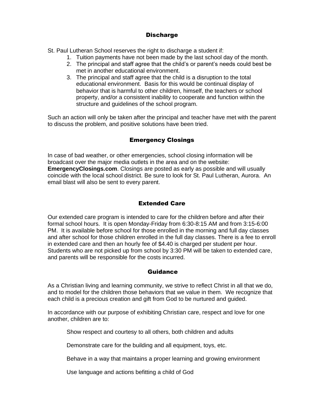#### **Discharge**

St. Paul Lutheran School reserves the right to discharge a student if:

- 1. Tuition payments have not been made by the last school day of the month.
	- 2. The principal and staff agree that the child's or parent's needs could best be met in another educational environment.
	- 3. The principal and staff agree that the child is a disruption to the total educational environment. Basis for this would be continual display of behavior that is harmful to other children, himself, the teachers or school property, and/or a consistent inability to cooperate and function within the structure and guidelines of the school program.

Such an action will only be taken after the principal and teacher have met with the parent to discuss the problem, and positive solutions have been tried.

#### Emergency Closings

In case of bad weather, or other emergencies, school closing information will be broadcast over the major media outlets in the area and on the website: **EmergencyClosings.com**. Closings are posted as early as possible and will usually coincide with the local school district. Be sure to look for St. Paul Lutheran, Aurora. An email blast will also be sent to every parent.

#### Extended Care

Our extended care program is intended to care for the children before and after their formal school hours. It is open Monday-Friday from 6:30-8:15 AM and from 3:15-6:00 PM. It is available before school for those enrolled in the morning and full day classes and after school for those children enrolled in the full day classes. There is a fee to enroll in extended care and then an hourly fee of \$4.40 is charged per student per hour. Students who are not picked up from school by 3:30 PM will be taken to extended care, and parents will be responsible for the costs incurred.

#### Guidance

As a Christian living and learning community, we strive to reflect Christ in all that we do, and to model for the children those behaviors that we value in them. We recognize that each child is a precious creation and gift from God to be nurtured and guided.

In accordance with our purpose of exhibiting Christian care, respect and love for one another, children are to:

Show respect and courtesy to all others, both children and adults

Demonstrate care for the building and all equipment, toys, etc.

Behave in a way that maintains a proper learning and growing environment

Use language and actions befitting a child of God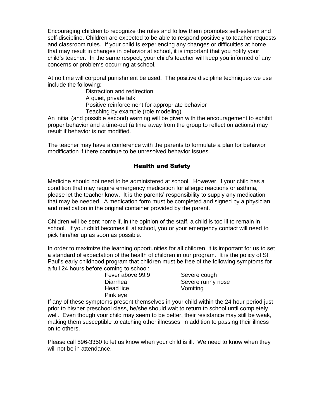Encouraging children to recognize the rules and follow them promotes self-esteem and self-discipline. Children are expected to be able to respond positively to teacher requests and classroom rules. If your child is experiencing any changes or difficulties at home that may result in changes in behavior at school, it is important that you notify your child's teacher. In the same respect, your child's teacher will keep you informed of any concerns or problems occurring at school.

At no time will corporal punishment be used. The positive discipline techniques we use include the following:

Distraction and redirection A quiet, private talk Positive reinforcement for appropriate behavior Teaching by example (role modeling)

An initial (and possible second) warning will be given with the encouragement to exhibit proper behavior and a time-out (a time away from the group to reflect on actions) may result if behavior is not modified.

The teacher may have a conference with the parents to formulate a plan for behavior modification if there continue to be unresolved behavior issues.

#### Health and Safety

Medicine should not need to be administered at school. However, if your child has a condition that may require emergency medication for allergic reactions or asthma, please let the teacher know. It is the parents' responsibility to supply any medication that may be needed. A medication form must be completed and signed by a physician and medication in the original container provided by the parent.

Children will be sent home if, in the opinion of the staff, a child is too ill to remain in school. If your child becomes ill at school, you or your emergency contact will need to pick him/her up as soon as possible.

In order to maximize the learning opportunities for all children, it is important for us to set a standard of expectation of the health of children in our program. It is the policy of St. Paul's early childhood program that children must be free of the following symptoms for a full 24 hours before coming to school:

| Fever above 99.9 | Severe cough      |
|------------------|-------------------|
| Diarrhea         | Severe runny nose |
| Head lice        | Vomiting          |
| Pink eye         |                   |

If any of these symptoms present themselves in your child within the 24 hour period just prior to his/her preschool class, he/she should wait to return to school until completely well. Even though your child may seem to be better, their resistance may still be weak, making them susceptible to catching other illnesses, in addition to passing their illness on to others.

Please call 896-3350 to let us know when your child is ill. We need to know when they will not be in attendance.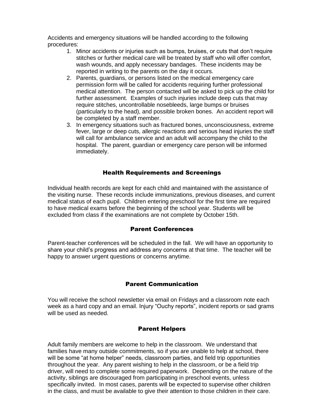Accidents and emergency situations will be handled according to the following procedures:

- 1. Minor accidents or injuries such as bumps, bruises, or cuts that don't require stitches or further medical care will be treated by staff who will offer comfort, wash wounds, and apply necessary bandages. These incidents may be reported in writing to the parents on the day it occurs.
- 2. Parents, guardians, or persons listed on the medical emergency care permission form will be called for accidents requiring further professional medical attention. The person contacted will be asked to pick up the child for further assessment. Examples of such injuries include deep cuts that may require stitches, uncontrollable nosebleeds, large bumps or bruises (particularly to the head), and possible broken bones. An accident report will be completed by a staff member.
- 3. In emergency situations such as fractured bones, unconsciousness, extreme fever, large or deep cuts, allergic reactions and serious head injuries the staff will call for ambulance service and an adult will accompany the child to the hospital. The parent, guardian or emergency care person will be informed immediately.

#### Health Requirements and Screenings

Individual health records are kept for each child and maintained with the assistance of the visiting nurse. These records include immunizations, previous diseases, and current medical status of each pupil. Children entering preschool for the first time are required to have medical exams before the beginning of the school year. Students will be excluded from class if the examinations are not complete by October 15th.

#### Parent Conferences

Parent-teacher conferences will be scheduled in the fall. We will have an opportunity to share your child's progress and address any concerns at that time. The teacher will be happy to answer urgent questions or concerns anytime.

#### Parent Communication

You will receive the school newsletter via email on Fridays and a classroom note each week as a hard copy and an email. Injury "Ouchy reports", incident reports or sad grams will be used as needed.

#### Parent Helpers

Adult family members are welcome to help in the classroom. We understand that families have many outside commitments, so if you are unable to help at school, there will be some "at home helper" needs, classroom parties, and field trip opportunities throughout the year. Any parent wishing to help in the classroom, or be a field trip driver, will need to complete some required paperwork. Depending on the nature of the activity, siblings are discouraged from participating in preschool events, unless specifically invited. In most cases, parents will be expected to supervise other children in the class, and must be available to give their attention to those children in their care.